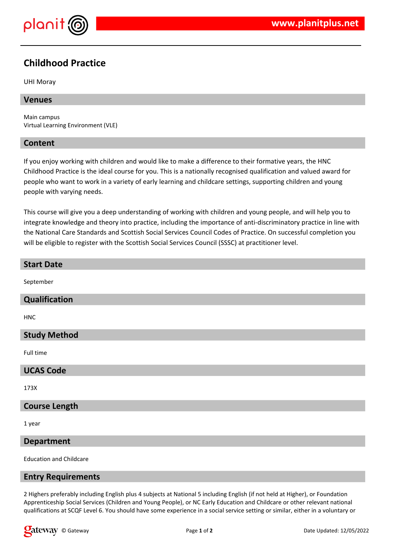

# **Childhood Practice**

#### UHI Moray

# **Venues**

Main campus Virtual Learning Environment (VLE)

# **Content**

If you enjoy working with children and would like to make a difference to their formative years, the HNC Childhood Practice is the ideal course for you. This is a nationally recognised qualification and valued award for people who want to work in a variety of early learning and childcare settings, supporting children and young people with varying needs.

This course will give you a deep understanding of working with children and young people, and will help you to integrate knowledge and theory into practice, including the importance of anti-discriminatory practice in line with the National Care Standards and Scottish Social Services Council Codes of Practice. On successful completion you will be eligible to register with the Scottish Social Services Council (SSSC) at practitioner level.

# **Start Date** September **Qualification** HNC **Study Method**

Full time

#### **UCAS Code**

173X

# **Course Length**

1 year

#### **Department**

Education and Childcare

#### **Entry Requirements**

2 Highers preferably including English plus 4 subjects at National 5 including English (if not held at Higher), or Foundation Apprenticeship Social Services (Children and Young People), or NC Early Education and Childcare or other relevant national qualifications at SCQF Level 6. You should have some experience in a social service setting or similar, either in a voluntary or